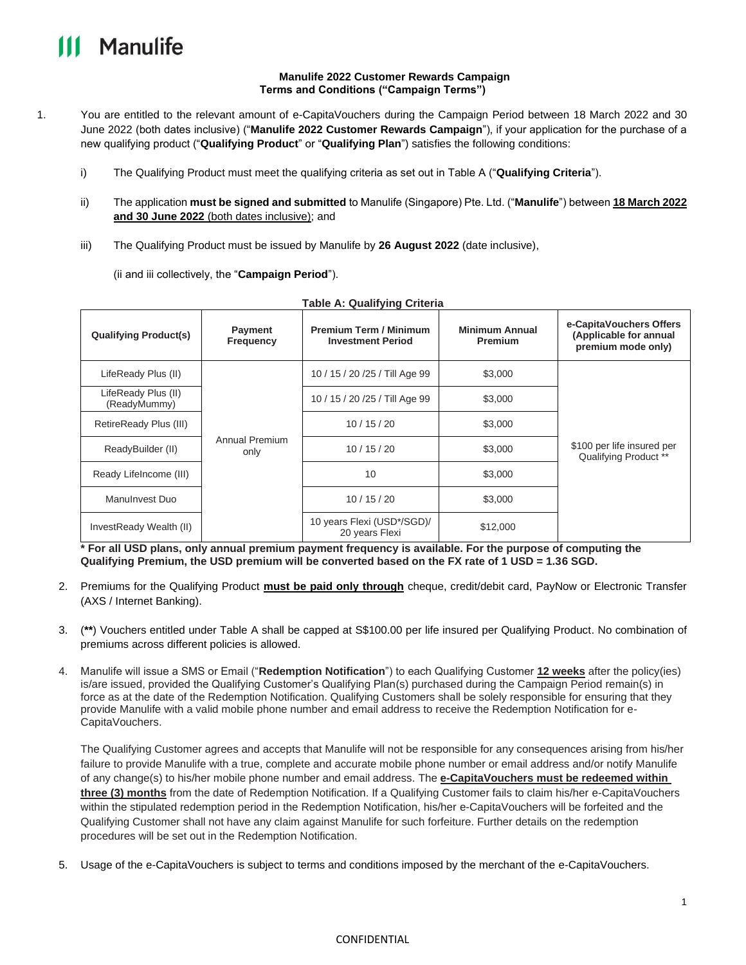## **Manulife**

#### **Manulife 2022 Customer Rewards Campaign Terms and Conditions ("Campaign Terms")**

- 1. You are entitled to the relevant amount of e-CapitaVouchers during the Campaign Period between 18 March 2022 and 30 June 2022 (both dates inclusive) ("**Manulife 2022 Customer Rewards Campaign**"), if your application for the purchase of a new qualifying product ("**Qualifying Product**" or "**Qualifying Plan**") satisfies the following conditions:
	- i) The Qualifying Product must meet the qualifying criteria as set out in Table A ("**Qualifying Criteria**").
	- ii) The application **must be signed and submitted** to Manulife (Singapore) Pte. Ltd. ("**Manulife**") between **18 March 2022 and 30 June 2022** (both dates inclusive); and
	- iii) The Qualifying Product must be issued by Manulife by **26 August 2022** (date inclusive),

(ii and iii collectively, the "**Campaign Period**").

| <b>Qualifying Product(s)</b>        | Payment<br><b>Frequency</b> | <b>Premium Term / Minimum</b><br><b>Investment Period</b> | <b>Minimum Annual</b><br>Premium | e-CapitaVouchers Offers<br>(Applicable for annual<br>premium mode only) |
|-------------------------------------|-----------------------------|-----------------------------------------------------------|----------------------------------|-------------------------------------------------------------------------|
| LifeReady Plus (II)                 | Annual Premium<br>only      | 10 / 15 / 20 / 25 / Till Age 99                           | \$3,000                          | \$100 per life insured per<br>Qualifying Product **                     |
| LifeReady Plus (II)<br>(ReadyMummy) |                             | 10 / 15 / 20 / 25 / Till Age 99                           | \$3,000                          |                                                                         |
| RetireReady Plus (III)              |                             | 10/15/20                                                  | \$3,000                          |                                                                         |
| ReadyBuilder (II)                   |                             | 10/15/20                                                  | \$3,000                          |                                                                         |
| Ready Lifelncome (III)              |                             | 10                                                        | \$3,000                          |                                                                         |
| Manulnyest Duo                      |                             | 10/15/20                                                  | \$3,000                          |                                                                         |
| InvestReady Wealth (II)             |                             | 10 years Flexi (USD*/SGD)/<br>20 years Flexi              | \$12,000                         |                                                                         |

**Table A: Qualifying Criteria**

**\* For all USD plans, only annual premium payment frequency is available. For the purpose of computing the Qualifying Premium, the USD premium will be converted based on the FX rate of 1 USD = 1.36 SGD.**

- 2. Premiums for the Qualifying Product **must be paid only through** cheque, credit/debit card, PayNow or Electronic Transfer (AXS / Internet Banking).
- 3. (**\*\***) Vouchers entitled under Table A shall be capped at S\$100.00 per life insured per Qualifying Product. No combination of premiums across different policies is allowed.
- 4. Manulife will issue a SMS or Email ("**Redemption Notification**") to each Qualifying Customer **12 weeks** after the policy(ies) is/are issued, provided the Qualifying Customer's Qualifying Plan(s) purchased during the Campaign Period remain(s) in force as at the date of the Redemption Notification. Qualifying Customers shall be solely responsible for ensuring that they provide Manulife with a valid mobile phone number and email address to receive the Redemption Notification for e-CapitaVouchers.

The Qualifying Customer agrees and accepts that Manulife will not be responsible for any consequences arising from his/her failure to provide Manulife with a true, complete and accurate mobile phone number or email address and/or notify Manulife of any change(s) to his/her mobile phone number and email address. The **e-CapitaVouchers must be redeemed within three (3) months** from the date of Redemption Notification. If a Qualifying Customer fails to claim his/her e-CapitaVouchers within the stipulated redemption period in the Redemption Notification, his/her e-CapitaVouchers will be forfeited and the Qualifying Customer shall not have any claim against Manulife for such forfeiture. Further details on the redemption procedures will be set out in the Redemption Notification.

5. Usage of the e-CapitaVouchers is subject to terms and conditions imposed by the merchant of the e-CapitaVouchers.

### CONFIDENTIAL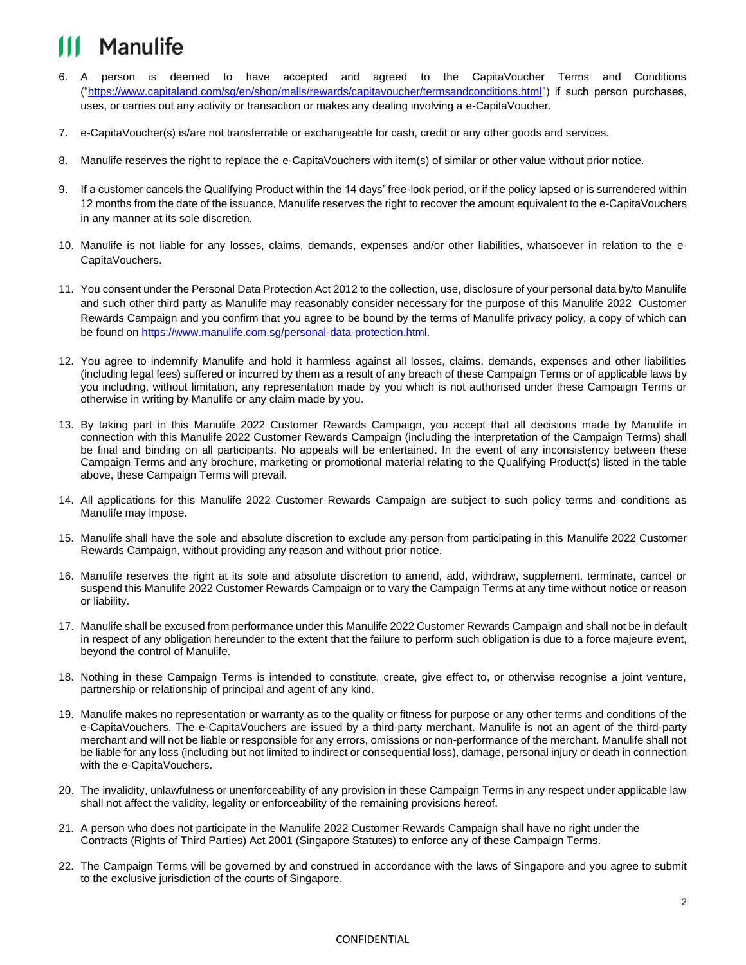# Manulife

- 6. A person is deemed to have accepted and agreed to the CapitaVoucher Terms and Conditions (["https://www.capitaland.com/sg/en/shop/malls/rewards/capitavoucher/termsandconditions.html"](https://www.capitaland.com/sg/en/shop/malls/rewards/capitavoucher/termsandconditions.html)) if such person purchases, uses, or carries out any activity or transaction or makes any dealing involving a e-CapitaVoucher.
- 7. e-CapitaVoucher(s) is/are not transferrable or exchangeable for cash, credit or any other goods and services.
- 8. Manulife reserves the right to replace the e-CapitaVouchers with item(s) of similar or other value without prior notice.
- 9. If a customer cancels the Qualifying Product within the 14 days' free-look period, or if the policy lapsed or is surrendered within 12 months from the date of the issuance, Manulife reserves the right to recover the amount equivalent to the e-CapitaVouchers in any manner at its sole discretion.
- 10. Manulife is not liable for any losses, claims, demands, expenses and/or other liabilities, whatsoever in relation to the e-CapitaVouchers.
- 11. You consent under the Personal Data Protection Act 2012 to the collection, use, disclosure of your personal data by/to Manulife and such other third party as Manulife may reasonably consider necessary for the purpose of this Manulife 2022 Customer Rewards Campaign and you confirm that you agree to be bound by the terms of Manulife privacy policy, a copy of which can be found on [https://www.manulife.com.sg/personal-data-protection.html.](https://www.manulife.com.sg/personal-data-protection.html)
- 12. You agree to indemnify Manulife and hold it harmless against all losses, claims, demands, expenses and other liabilities (including legal fees) suffered or incurred by them as a result of any breach of these Campaign Terms or of applicable laws by you including, without limitation, any representation made by you which is not authorised under these Campaign Terms or otherwise in writing by Manulife or any claim made by you.
- 13. By taking part in this Manulife 2022 Customer Rewards Campaign, you accept that all decisions made by Manulife in connection with this Manulife 2022 Customer Rewards Campaign (including the interpretation of the Campaign Terms) shall be final and binding on all participants. No appeals will be entertained. In the event of any inconsistency between these Campaign Terms and any brochure, marketing or promotional material relating to the Qualifying Product(s) listed in the table above, these Campaign Terms will prevail.
- 14. All applications for this Manulife 2022 Customer Rewards Campaign are subject to such policy terms and conditions as Manulife may impose.
- 15. Manulife shall have the sole and absolute discretion to exclude any person from participating in this Manulife 2022 Customer Rewards Campaign, without providing any reason and without prior notice.
- 16. Manulife reserves the right at its sole and absolute discretion to amend, add, withdraw, supplement, terminate, cancel or suspend this Manulife 2022 Customer Rewards Campaign or to vary the Campaign Terms at any time without notice or reason or liability.
- 17. Manulife shall be excused from performance under this Manulife 2022 Customer Rewards Campaign and shall not be in default in respect of any obligation hereunder to the extent that the failure to perform such obligation is due to a force majeure event, beyond the control of Manulife.
- 18. Nothing in these Campaign Terms is intended to constitute, create, give effect to, or otherwise recognise a joint venture, partnership or relationship of principal and agent of any kind.
- 19. Manulife makes no representation or warranty as to the quality or fitness for purpose or any other terms and conditions of the e-CapitaVouchers. The e-CapitaVouchers are issued by a third-party merchant. Manulife is not an agent of the third-party merchant and will not be liable or responsible for any errors, omissions or non-performance of the merchant. Manulife shall not be liable for any loss (including but not limited to indirect or consequential loss), damage, personal injury or death in connection with the e-CapitaVouchers.
- 20. The invalidity, unlawfulness or unenforceability of any provision in these Campaign Terms in any respect under applicable law shall not affect the validity, legality or enforceability of the remaining provisions hereof.
- 21. A person who does not participate in the Manulife 2022 Customer Rewards Campaign shall have no right under the Contracts (Rights of Third Parties) Act 2001 (Singapore Statutes) to enforce any of these Campaign Terms.
- 22. The Campaign Terms will be governed by and construed in accordance with the laws of Singapore and you agree to submit to the exclusive jurisdiction of the courts of Singapore.

### CONFIDENTIAL